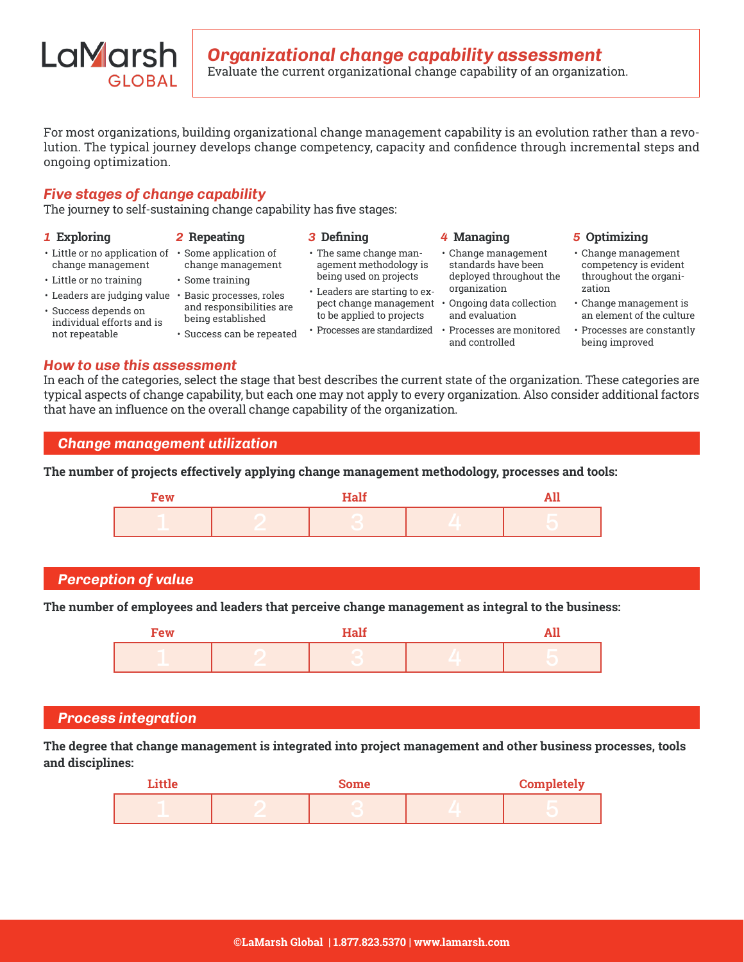

For most organizations, building organizational change management capability is an evolution rather than a revolution. The typical journey develops change competency, capacity and confidence through incremental steps and ongoing optimization.

## *Five stages of change capability*

The journey to self-sustaining change capability has five stages:

| 1 Exploring                                                                                                                                                                                               | 2 Repeating                                                                                                                                  | 3 Defining                                                                                                                                                                                         | 4 Managing                                                                                                                                                                      | 5 Optimizing                                                                                                                                                                            |
|-----------------------------------------------------------------------------------------------------------------------------------------------------------------------------------------------------------|----------------------------------------------------------------------------------------------------------------------------------------------|----------------------------------------------------------------------------------------------------------------------------------------------------------------------------------------------------|---------------------------------------------------------------------------------------------------------------------------------------------------------------------------------|-----------------------------------------------------------------------------------------------------------------------------------------------------------------------------------------|
| • Little or no application of • Some application of<br>change management<br>• Little or no training<br>• Leaders are judging value<br>· Success depends on<br>individual efforts and is<br>not repeatable | change management<br>· Some training<br>Basic processes, roles<br>and responsibilities are<br>being established<br>· Success can be repeated | • The same change man-<br>agement methodology is<br>being used on projects<br>• Leaders are starting to ex-<br>pect change management<br>to be applied to projects<br>• Processes are standardized | • Change management<br>standards have been<br>deployed throughout the<br>organization<br>Ongoing data collection<br>and evaluation<br>Processes are monitored<br>and controlled | • Change management<br>competency is evident<br>throughout the organi-<br>zation<br>• Change management is<br>an element of the culture<br>• Processes are constantly<br>being improved |

#### *How to use this assessment*

In each of the categories, select the stage that best describes the current state of the organization. These categories are typical aspects of change capability, but each one may not apply to every organization. Also consider additional factors that have an influence on the overall change capability of the organization.



**The number of projects effectively applying change management methodology, processes and tools:** 



# *Perception of value*

**The number of employees and leaders that perceive change management as integral to the business:**

| Few | <b>Half</b> |  |
|-----|-------------|--|
|     |             |  |

#### *Process integration*

**The degree that change management is integrated into project management and other business processes, tools and disciplines:**

| Little | Some | <b>Completely</b> |
|--------|------|-------------------|
|        |      |                   |